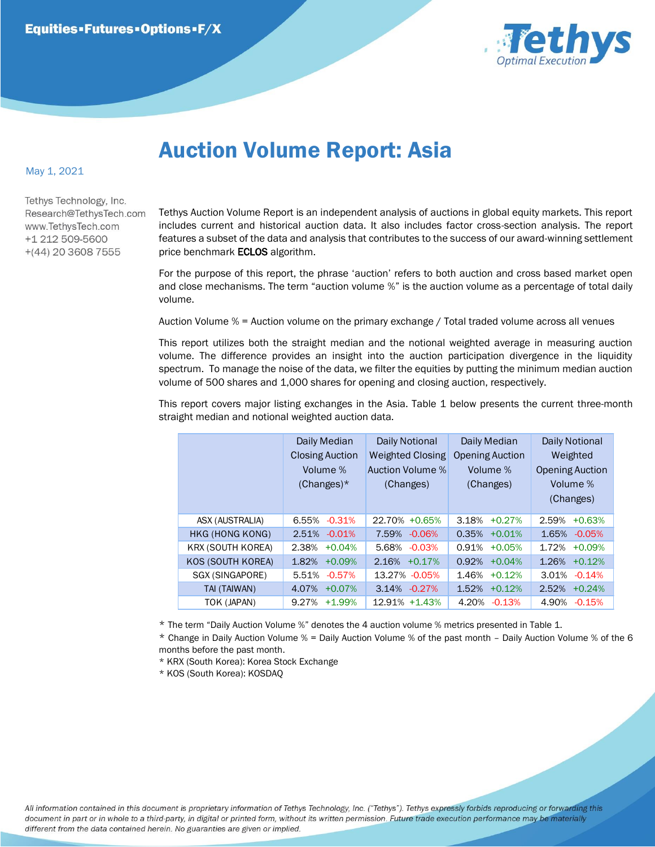

## Auction Volume Report: Asia

## May 1, 2021

Tethys Technology, Inc. Research@TethysTech.com www.TethvsTech.com +1 212 509-5600  $+(44)$  20 3608 7555

Tethys Auction Volume Report is an independent analysis of auctions in global equity markets. This report includes current and historical auction data. It also includes factor cross-section analysis. The report features a subset of the data and analysis that contributes to the success of our award-winning settlement price benchmark **ECLOS** algorithm.

For the purpose of this report, the phrase 'auction' refers to both auction and cross based market open and close mechanisms. The term "auction volume %" is the auction volume as a percentage of total daily volume.

Auction Volume % = Auction volume on the primary exchange / Total traded volume across all venues

This report utilizes both the straight median and the notional weighted average in measuring auction volume. The difference provides an insight into the auction participation divergence in the liquidity spectrum. To manage the noise of the data, we filter the equities by putting the minimum median auction volume of 500 shares and 1,000 shares for opening and closing auction, respectively.

This report covers major listing exchanges in the Asia. Table 1 below presents the current three-month straight median and notional weighted auction data.

|  |                          | Daily Median<br><b>Closing Auction</b><br>Volume %<br>$(Changes)^*$ | Daily Notional<br><b>Weighted Closing</b><br>Auction Volume %<br>(Changes) | Daily Median<br><b>Opening Auction</b><br>Volume %<br>(Changes) | <b>Daily Notional</b><br>Weighted<br><b>Opening Auction</b><br>Volume %<br>(Changes) |
|--|--------------------------|---------------------------------------------------------------------|----------------------------------------------------------------------------|-----------------------------------------------------------------|--------------------------------------------------------------------------------------|
|  | ASX (AUSTRALIA)          | $-0.31%$<br>6.55%                                                   | 22.70% +0.65%                                                              | 3.18%<br>$+0.27%$                                               | 2.59%<br>$+0.63%$                                                                    |
|  | HKG (HONG KONG)          | $-0.01%$<br>2.51%                                                   | 7.59%<br>$-0.06%$                                                          | 0.35%<br>$+0.01%$                                               | 1.65%<br>$-0.05%$                                                                    |
|  | <b>KRX (SOUTH KOREA)</b> | 2.38%<br>$+0.04%$                                                   | 5.68%<br>$-0.03%$                                                          | 0.91%<br>$+0.05%$                                               | 1.72%<br>$+0.09%$                                                                    |
|  | KOS (SOUTH KOREA)        | $+0.09%$<br>1.82%                                                   | 2.16%<br>$+0.17%$                                                          | 0.92%<br>$+0.04%$                                               | 1.26%<br>$+0.12%$                                                                    |
|  | SGX (SINGAPORE)          | $-0.57%$<br>5.51%                                                   | 13.27% - 0.05%                                                             | 1.46%<br>$+0.12%$                                               | 3.01%<br>$-0.14%$                                                                    |
|  | TAI (TAIWAN)             | 4.07%<br>$+0.07%$                                                   | $-0.27\%$<br>3.14%                                                         | 1.52%<br>$+0.12%$                                               | 2.52%<br>$+0.24%$                                                                    |
|  | TOK (JAPAN)              | 9.27%<br>$+1.99%$                                                   | 12.91% +1.43%                                                              | 4.20%<br>$-0.13%$                                               | 4.90%<br>$-0.15%$                                                                    |

\* The term "Daily Auction Volume %" denotes the 4 auction volume % metrics presented in Table 1.

\* Change in Daily Auction Volume % = Daily Auction Volume % of the past month – Daily Auction Volume % of the 6 months before the past month.

\* KRX (South Korea): Korea Stock Exchange

\* KOS (South Korea): KOSDAQ

All information contained in this document is proprietary information of Tethys Technology, Inc. ("Tethys"). Tethys expressly forbids reproducing or forwarding this document in part or in whole to a third-party, in digital or printed form, without its written permission. Future trade execution performance may be materially different from the data contained herein. No guaranties are given or implied.